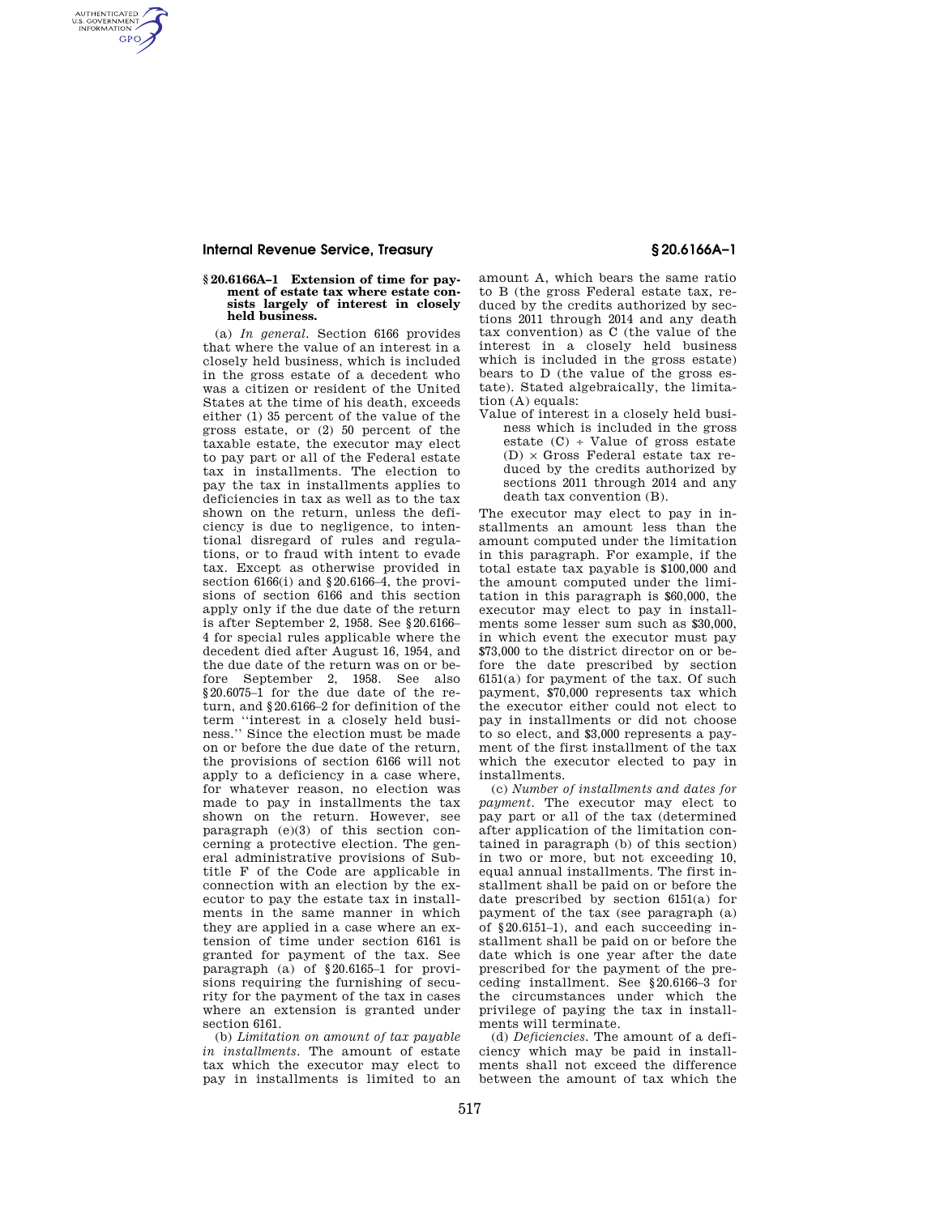## **Internal Revenue Service, Treasury § 20.6166A–1**

AUTHENTICATED<br>U.S. GOVERNMENT<br>INFORMATION **GPO** 

#### **§ 20.6166A–1 Extension of time for payment of estate tax where estate consists largely of interest in closely held business.**

(a) *In general.* Section 6166 provides that where the value of an interest in a closely held business, which is included in the gross estate of a decedent who was a citizen or resident of the United States at the time of his death, exceeds either (1) 35 percent of the value of the gross estate, or (2) 50 percent of the taxable estate, the executor may elect to pay part or all of the Federal estate tax in installments. The election to pay the tax in installments applies to deficiencies in tax as well as to the tax shown on the return, unless the deficiency is due to negligence, to intentional disregard of rules and regulations, or to fraud with intent to evade tax. Except as otherwise provided in section 6166(i) and §20.6166-4, the provisions of section 6166 and this section apply only if the due date of the return is after September 2, 1958. See §20.6166– 4 for special rules applicable where the decedent died after August 16, 1954, and the due date of the return was on or before September 2, 1958. See also §20.6075–1 for the due date of the return, and §20.6166–2 for definition of the term ''interest in a closely held business.'' Since the election must be made on or before the due date of the return, the provisions of section 6166 will not apply to a deficiency in a case where, for whatever reason, no election was made to pay in installments the tax shown on the return. However, see paragraph (e)(3) of this section concerning a protective election. The general administrative provisions of Subtitle F of the Code are applicable in connection with an election by the executor to pay the estate tax in installments in the same manner in which they are applied in a case where an extension of time under section 6161 is granted for payment of the tax. See paragraph (a) of §20.6165–1 for provisions requiring the furnishing of security for the payment of the tax in cases where an extension is granted under section 6161.

(b) *Limitation on amount of tax payable in installments.* The amount of estate tax which the executor may elect to pay in installments is limited to an amount A, which bears the same ratio to B (the gross Federal estate tax, reduced by the credits authorized by sections 2011 through 2014 and any death tax convention) as C (the value of the interest in a closely held business which is included in the gross estate) bears to D (the value of the gross estate). Stated algebraically, the limitation (A) equals:

Value of interest in a closely held business which is included in the gross estate  $(C)$  ÷ Value of gross estate  $(D) \times$  Gross Federal estate tax reduced by the credits authorized by sections 2011 through 2014 and any death tax convention (B).

The executor may elect to pay in installments an amount less than the amount computed under the limitation in this paragraph. For example, if the total estate tax payable is \$100,000 and the amount computed under the limitation in this paragraph is \$60,000, the executor may elect to pay in installments some lesser sum such as \$30,000, in which event the executor must pay \$73,000 to the district director on or before the date prescribed by section 6151(a) for payment of the tax. Of such payment, \$70,000 represents tax which the executor either could not elect to pay in installments or did not choose to so elect, and \$3,000 represents a payment of the first installment of the tax which the executor elected to pay in installments.

(c) *Number of installments and dates for payment.* The executor may elect to pay part or all of the tax (determined after application of the limitation contained in paragraph (b) of this section) in two or more, but not exceeding 10, equal annual installments. The first installment shall be paid on or before the date prescribed by section 6151(a) for payment of the tax (see paragraph (a) of §20.6151–1), and each succeeding installment shall be paid on or before the date which is one year after the date prescribed for the payment of the preceding installment. See §20.6166–3 for the circumstances under which the privilege of paying the tax in installments will terminate.

(d) *Deficiencies.* The amount of a deficiency which may be paid in installments shall not exceed the difference between the amount of tax which the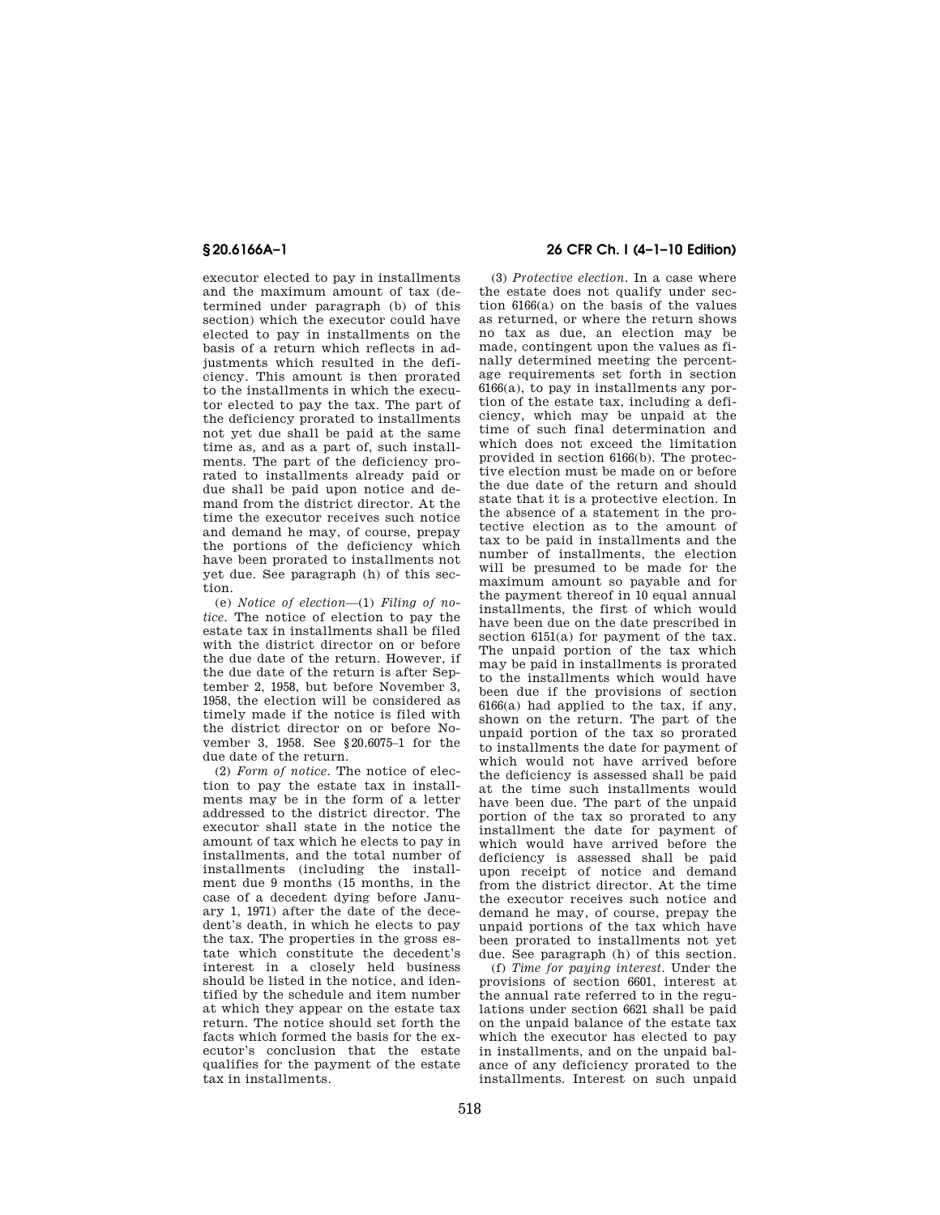executor elected to pay in installments and the maximum amount of tax (determined under paragraph (b) of this section) which the executor could have elected to pay in installments on the basis of a return which reflects in adjustments which resulted in the deficiency. This amount is then prorated to the installments in which the executor elected to pay the tax. The part of the deficiency prorated to installments not yet due shall be paid at the same time as, and as a part of, such installments. The part of the deficiency prorated to installments already paid or due shall be paid upon notice and demand from the district director. At the time the executor receives such notice and demand he may, of course, prepay the portions of the deficiency which have been prorated to installments not yet due. See paragraph (h) of this section.

(e) *Notice of election*—(1) *Filing of notice.* The notice of election to pay the estate tax in installments shall be filed with the district director on or before the due date of the return. However, if the due date of the return is after September 2, 1958, but before November 3, 1958, the election will be considered as timely made if the notice is filed with the district director on or before November 3, 1958. See §20.6075–1 for the due date of the return.

(2) *Form of notice.* The notice of election to pay the estate tax in installments may be in the form of a letter addressed to the district director. The executor shall state in the notice the amount of tax which he elects to pay in installments, and the total number of installments (including the installment due 9 months (15 months, in the case of a decedent dying before January 1, 1971) after the date of the decedent's death, in which he elects to pay the tax. The properties in the gross estate which constitute the decedent's interest in a closely held business should be listed in the notice, and identified by the schedule and item number at which they appear on the estate tax return. The notice should set forth the facts which formed the basis for the executor's conclusion that the estate qualifies for the payment of the estate tax in installments.

# **§ 20.6166A–1 26 CFR Ch. I (4–1–10 Edition)**

(3) *Protective election.* In a case where the estate does not qualify under section 6166(a) on the basis of the values as returned, or where the return shows no tax as due, an election may be made, contingent upon the values as finally determined meeting the percentage requirements set forth in section 6166(a), to pay in installments any portion of the estate tax, including a deficiency, which may be unpaid at the time of such final determination and which does not exceed the limitation provided in section 6166(b). The protective election must be made on or before the due date of the return and should state that it is a protective election. In the absence of a statement in the protective election as to the amount of tax to be paid in installments and the number of installments, the election will be presumed to be made for the maximum amount so payable and for the payment thereof in 10 equal annual installments, the first of which would have been due on the date prescribed in section 6151(a) for payment of the tax. The unpaid portion of the tax which may be paid in installments is prorated to the installments which would have been due if the provisions of section 6166(a) had applied to the tax, if any, shown on the return. The part of the unpaid portion of the tax so prorated to installments the date for payment of which would not have arrived before the deficiency is assessed shall be paid at the time such installments would have been due. The part of the unpaid portion of the tax so prorated to any installment the date for payment of which would have arrived before the deficiency is assessed shall be paid upon receipt of notice and demand from the district director. At the time the executor receives such notice and demand he may, of course, prepay the unpaid portions of the tax which have been prorated to installments not yet due. See paragraph (h) of this section.

(f) *Time for paying interest.* Under the provisions of section 6601, interest at the annual rate referred to in the regulations under section 6621 shall be paid on the unpaid balance of the estate tax which the executor has elected to pay in installments, and on the unpaid balance of any deficiency prorated to the installments. Interest on such unpaid